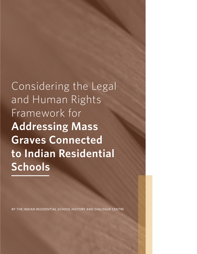Considering the Legal and Human Rights Framework for **Addressing Mass Graves Connected to Indian Residential Schools**

BY THE INDIAN RESIDENTIAL SCHOOL HISTORY AND DIALOG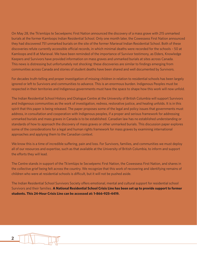On May 28, the Tk'emlúps te Secwépemc First Nation announced the discovery of a mass grave with 215 unmarked burials at the former Kamloops Indian Residential School. Only one month later, the Cowessess First Nation announced they had discovered 751 unmarked burials on the site of the former Marieval Indian Residential School. Both of these discoveries refute currently accessible official records, in which minimal deaths were recorded for the schools – 50 at Kamloops and 8 at Marieval. We have been reminded of the importance of Survivor testimony, as Elders, Knowledge Keepers and Survivors have provided information on mass graves and unmarked burials at sites across Canada. This news is distressing but unfortunately not shocking: these discoveries are similar to findings emerging from communities across Canada and stories of student deaths have been shared and well documented by Survivors.

For decades truth-telling and proper investigation of missing children in relation to residential schools has been largely ignored or left to Survivors and communities to advance. This is an enormous burden. Indigenous Peoples must be respected in their territories and Indigenous governments must have the space to shape how this work will now unfold.

The Indian Residential School History and Dialogue Centre at the University of British Columbia will support Survivors and Indigenous communities as the work of investigation, redress, restorative justice, and healing unfolds. It is in this spirit that this paper is being released. The paper proposes some of the legal and policy issues that governments must address, in consultation and cooperation with Indigenous peoples, if a proper and serious framework for addressing unmarked burials and mass graves in Canada is to be established. Canadian law has no established understanding or standards of how to approach the discovery of mass graves or other unmarked burials. This discussion paper explores some of the considerations for a legal and human rights framework for mass graves by examining international approaches and applying them to the Canadian context.

We know this is a time of incredible suffering, pain and loss. For Survivors, families, and communities we must deploy all of our resources and expertise, such as that available at the University of British Columbia, to inform and support the efforts they will lead.

The Centre stands in support of the Tk'emlúps te Secwépemc First Nation, the Cowessess First Nation, and shares in the collective grief being felt across the country. We recognize that this work of recovering and identifying remains of children who were at residential schools is difficult, but it will not be pushed aside.

The Indian Residential School Survivors Society offers emotional, mental and cultural support for residential school Survivors and their families. **A National Residential School Crisis Line has been set up to provide support to former students. This 24-Hour Crisis Line can be accessed at: 1-866-925-4419.**

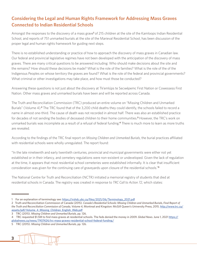# **Considering the Legal and Human Rights Framework for Addressing Mass Graves Connected to Indian Residential Schools**

Amongst the responses to the discovery of a mass grave<sup>1</sup> of 215 children at the site of the Kamloops Indian Residential School, and reports of 751 unmarked burials at the site of the Marieval Residential School, has been discussion of the proper legal and human rights framework for guiding next steps.

There is no established understanding or practice of how to approach the discovery of mass graves in Canadian law. Our federal and provincial legislative regimes have not been developed with the anticipation of the discovery of mass graves. There are many critical questions to be answered including: Who should make decisions about the site and the remains? How should these decisions be made? What is the role of the families? What is the role of the of the Indigenous Peoples on whose territory the graves are found? What is the role of the federal and provincial governments? What criminal or other investigations may take place, and how must those be conducted?

Answering these questions is not just about the discovery at Tk'emlúps te Secwépemc First Nation or Cowessess First Nation. Other mass graves and unmarked burials have been and will be reported across Canada.

The Truth and Reconciliation Commission (TRC) produced an entire volume on "Missing Children and Unmarked Burials" (Volume 4).**<sup>2</sup>** The TRC found that of the 3,200 child deaths they could identify, the schools failed to record a name in almost one-third. The cause of death was not recorded in almost half. There was also an established practice for decades of not sending the bodies of deceased children to their home communities.**<sup>3</sup>** However, the TRC's work on unmarked burials was incomplete as a result of a refusal of federal funding.**4** There is much more to learn as more truths are revealed.

According to the findings of the TRC final report on *Missing Children and Unmarked Burials*, the burial practices affiliated with residential schools were wholly unregulated. The report found:

"In the late nineteenth and early twentieth centuries, provincial and municipal governments were either not yet established or in their infancy, and cemetery regulations were non-existent or undeveloped. Given the lack of regulation at the time, it appears that most residential school cemeteries were established informally. It is clear that insufficient consideration was given for the continuing care of graveyards upon closure of the residential schools."**<sup>5</sup>**

The National Centre for Truth and Reconciliation (NCTR) initiated a memorial registry of students that died at residential schools in Canada. The registry was created in response to *TRC Call to Action 72*, which states:

<sup>5</sup> TRC (2015). *Missing Children and Unmarked Burials*, pp. 126.



<sup>1</sup> For an explanation of terminology see: https://irshdc.ubc.ca/files/2021/06/Terminology\_2021.pdf

<sup>2</sup> Truth and Reconciliation Commission of Canada (2015). *Canada's Residential Schools: Missing Children and Unmarked Burials, Final Report of the Truth and Reconciliation Commission of Canada, Volume 4,* Montreal and Kingston: McGill Queen's University Press, 2015. http://www.trc.ca/ assets/pdf/Volume\_4\_Missing\_Children\_English\_Web.pdf

<sup>3</sup> TRC (2015). *Missing Children and Unmarked Burials*, pp. 126.

<sup>4</sup> TRC requested \$1.5M to find mass graves at residential schools. The feds denied the money in 2009. *Global News*. June 1, 2021 https:// globalnews.ca/news/7907424/trc-mass-graves-residential-school-federal-funding/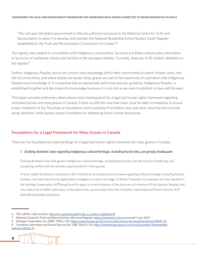"We call upon the federal government to allocate sufficient resources to the National Centre for Truth and Reconciliation to allow it to develop and maintain the National Residential School Student Death Register established by the Truth and Reconciliation Commission of Canada."**<sup>6</sup>**

The registry was created in consultation with Indigenous communities, Survivors and Elders and provides information to Survivors of residential schools and families of the deceased children. Currently, there are 4,118 children identified on the register.**<sup>7</sup>**

Further, Indigenous Peoples across the country have knowledge within their communities of where children went, who did not come home, and where bodies are buried. Mass graves are part of the experience of colonialism that Indigenous Peoples have knowledge of. It is essential that an appropriate and timely process, guided by Indigenous Peoples, is established to gather and document this knowledge to ensure it is not lost as we work to establish a clear path forward.

This paper provides preliminary observations and a starting point for a legal and human rights framework regarding unmarked burials and mass graves in Canada. It does so with the view that steps must be taken immediately to ensure proper treatment of the Tk'emlúps te Secwépemc and Cowessess First Nation sites, and other sites that are currently being identified, while laying a proper foundation for addressing future similar discoveries.

# Foundations for a Legal Framework for Mass Graves in Canada

There are five foundational understandings for a legal and human rights framework for mass graves in Canada.

### *1. Existing domestic laws regarding Indigenous cultural heritage, including burial sites, are grossly inadequate*

Existing domestic laws that govern Indigenous cultural heritage, including burial sites, are the source of enduring, and escalating conflict and are entirely inappropriate for mass graves.

In brief, under the division of powers in the *Constitution of Canada* provincial laws regarding cultural heritage, including historic remains, has been found to be applicable to Indigenous cultural heritage. In British Columbia, for example, this has resulted in the *Heritage Conservation Act***8** being found to apply to most instances of the discovery of remains of First Nations Peoples that may date prior to 1846. Such sites, at the same time, are excluded from the *Cremation, Internment and Funeral Services Act***<sup>9</sup>** that affords greater protection.

<sup>9</sup> C*remation, Internment and Funeral Services Act*, [SBC 2004] c 35, https://www.bclaws.gov.bc.ca/civix/document/id/complete/ statreg/04035\_01



<sup>6</sup> TRC (2015). *Calls to Action*, http://trc.ca/assets/pdf/Calls\_to\_Action\_English2.pdf

<sup>7</sup> National Centre for Truth and Reconciliation, Memorial Register, https://memorial.nctr.ca accessed 1 June 2021

<sup>8</sup> *Heritage Conservation Act*, [RSBC 1996] c 187, https://www.bclaws.gov.bc.ca/civix/document/id/complete/statreg/96187\_01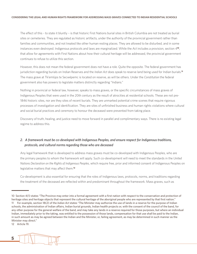The effect of this - to state it bluntly – is that historic First Nations burial sites in British Columbia are not treated as burial sites or cemeteries. They are regulated as historic artifacts, under the authority of the provincial government rather than families and communities, and not treated like other human resting places. They are allowed to be disturbed, and in some instances even destroyed. Indigenous protocols and laws are marginalized. While the *Act* includes a provision, section 4**10**, that allow for agreements with First Nations about how their cultural heritage will be addressed, the provincial government continues to refuse to utilize this section.

However, this does not mean the federal government does not have a role. Quite the opposite. The federal government has jurisdiction regarding burials on Indian Reserves and the *Indian Act* does speak to reserve land being used for Indian burials.**<sup>11</sup>** The mass grave at Tk'emlúps te Secwépemc is located on reserve, as will be others. Under the *Constitution* the federal government also has powers to legislate matters distinctly regarding "Indians."

Nothing in provincial or federal law, however, speaks to mass graves, or the specific circumstances of mass graves of Indigenous Peoples that were used in the 20th century as the result of atrocities at residential schools. These are not pre-1846 historic sites, nor are they sites of recent burials. They are unmarked potential crime scenes that require rigorous processes of investigation and identification. They are sites of unfinished business and human rights violations where cultural and social burial practices and ceremony to honour the deceased were prevented from taking place.

Discovery of truth, healing, and justice need to move forward in parallel and complimentary ways. There is no existing legal regime to address this.

# *2. A framework must be co-developed with Indigenous Peoples, and ensure respect for Indigenous traditions, protocols, and cultural norms regarding those who are deceased*

Any legal framework that is developed to address mass graves must be co-developed with Indigenous Peoples, who are the primary peoples to whom the framework will apply. Such co-development will need to meet the standards in the *United Nations Declaration on the Rights of Indigenous Peoples*, which require free, prior and informed consent of Indigenous Peoples on legislative matters that may affect them.**<sup>12</sup>**

Co-development is also essential for ensuring that the roles of Indigenous laws, protocols, norms, and traditions regarding the treatment of the deceased are reflected within and predominant throughout the framework. Mass graves, such as

<sup>12</sup> Article 19.



<sup>10</sup> Section 4(1) states "The Province may enter into a formal agreement with a first nation with respect to the conservation and protection of heritage sites and heritage objects that represent the cultural heritage of the aboriginal people who are represented by that first nation." 11 For example, section 18(2) of the *Indian Act* states "The Minister may authorize the use of lands in a reserve for the purpose of Indian schools, the administration of Indian affairs, Indian burial grounds, Indian health projects or, with the consent of the council of the band, for any other purpose for the general welfare of the band, and may take any lands in a reserve required for those purposes, but where an individual Indian, immediately prior to the taking, was entitled to the possession of those lands, compensation for that use shall be paid to the Indian, in such amount as may be agreed between the Indian and the Minister, or, failing agreement, as may be determined in such manner as the Minister may direct."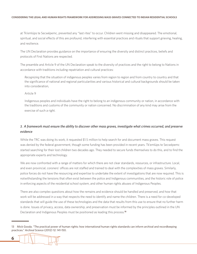at Tk'emlúps te Secwépemc, prevented any "last rites" to occur. Children went missing and disappeared. The emotional, spiritual, and social effects of this are profound, interfering with essential practices and rituals that support grieving, healing, and resilience.

The UN Declaration provides guidance on the importance of ensuring the diversity and distinct practices, beliefs and protocols of First Nations are respected.

The preamble and Article 9 of the UN Declaration speak to the diversity of practices and the right to belong to Nations in accordance with traditions including repatriation and cultural practices:

*Recognizing* that the situation of indigenous peoples varies from region to region and from country to country and that the significance of national and regional particularities and various historical and cultural backgrounds should be taken into consideration,

#### Article 9

Indigenous peoples and individuals have the right to belong to an indigenous community or nation, in accordance with the traditions and customs of the community or nation concerned. No discrimination of any kind may arise from the exercise of such a right.

# *3. A framework must ensure the ability to discover other mass graves, investigate what crimes occurred, and preserve evidence*

While the TRC was doing its work, it requested \$1.5 million to help search for and document mass graves. This request was denied by the federal government, though some funding has been provided in recent years. Tk'emlúps te Secwépemc started searching for their lost children two decades ago. They needed to secure funds themselves to do this, and to find the appropriate experts and technology.

We are now confronted with a range of matters for which there are not clear standards, resources, or infrastructure. Local, and even provincial, coroners' offices are not staffed and trained to deal with the complexities of mass graves. Similarly, police forces do not have the resourcing and expertise to undertake the extent of investigations that are now required. This is notwithstanding the tensions that often exist between the police and Indigenous communities, and the historic role of police in enforcing aspects of the residential school system, and other human rights abuses of Indigenous Peoples.

There are also complex questions about how the remains and evidence should be handled and preserved, and how that work will be addressed in a way that respects the need to identify and name the children. There is a need for co-developed standards that will guide the use of these technologies and the data that results from this use to ensure that no further harm is done. Issues of privacy, access, data ownership, and preservation must be informed by the principles outlined in the UN Declaration and Indigenous Peoples must be positioned as leading this process.**<sup>13</sup>**

<sup>13</sup> Mick Gooda. "The practical power of human rights: how international human rights standards can inform archival and recordkeeping practices." *Archival Science* (2012) 12: 141-150.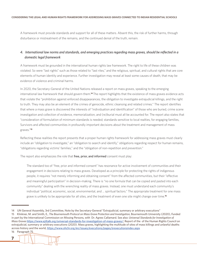A framework must provide standards and support for all of these matters. Absent this, the risk of further harms, through disturbance or mistreatment of the remains, and the continued denial of the truth, remain.

# *4. International law norms and standards, and emerging practices regarding mass graves, should be reflected in a domestic legal framework*

A framework must be grounded in the international human rights law framework. The right to life of these children was violated. So were "last rights" such as those related to "last rites," and the religious, spiritual, and cultural rights that are core elements of human identity and experience. Further investigation may reveal at least some causes of death, that may be evidence of violence and criminal harms.

In 2020, the Secretary-General of the United Nations released a report on mass graves, speaking to the emerging international law framework that should govern them.**<sup>14</sup>** The report highlights that the existence of mass graves evidence acts that violate the "prohibition against enforced disappearances, the obligation to investigate extrajudicial killings, and the right to truth. They may also be an element of the crimes of genocide, ethnic cleansing and related crimes." The report identifies that where a mass grave is discovered the interests of "individuation and identification" of those who are buried, crime scene investigation and collection of evidence, memorialization, and (re)burial must all be accounted for. The report also states that "consideration of formulation of minimum standards is needed; standards sensitive to local realties, for engaging families, Survivors and affected communities in profoundly important decisions about the treatment and management of mass graves."**<sup>15</sup>**

Reflecting these realities the report presents that a proper human rights framework for addressing mass graves must clearly include an "obligation to investigate," an "obligation to search and identify," obligations regarding respect for human remains, "obligations regarding victims' families," and the "obligation of non-repetition and prevention."

The report also emphasizes the role that free, prior, and informed consent must play:

The standard too of "free, prior and informed consent" has resonance for active involvement of communities and their engagement in decisions relating to mass graves. Developed as a principle for protecting the rights of indigenous people, it requires "not merely informing and obtaining consent" from the affected communities, but their "effective and meaningful participation" in decision-making. There is "no one formula that can be copied and pasted into each community" dealing with the wrenching reality of mass graves. Instead, one must understand each community's individual "political, economic, social, environmental, and ... spiritual factors." The appropriate treatment for one mass grave is unlikely to be appropriate for all sites, and the treatment of even one site might change over time.**<sup>16</sup>**

**7**

<sup>14</sup> UN General Assembly, 3rd Committee, Note by the Secretary-General "Extrajudicial, summary or arbitrary executions"

<sup>15</sup> Klinkner, M. and Smith, E., *The Bournemouth Protocol on Mass Grave Protection and Investigation,* Bournemouth University (2020), Funded in part by the International Commission on Missing Persons, with Dr. Agnes Callamard. See also: *Universal Standards for Investigation of Mass Graves* https://www.ejiltalk.org/universal-standards-for-investigation-of-mass-graves/; Report of the of the Human Rights Council on extrajudicial, summary or arbitrary executions (2020). Mass graves, highlighting the multitude of sites of mass killings and unlawful deaths across history and the world, https://www.ohchr.org/en/issues/executions/pages/srexecutionsindex.aspx

<sup>16</sup> Paragraph 75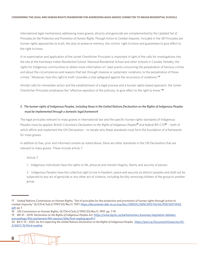International legal mechanisms addressing mass graves, atrocity and genocide are complemented by the *Updated Set of Principles for the Protection and Promotion of Human Rights Through Action to Combat Impunity*. Included in the 38 Principles are human rights approaches to truth, the duty to preserve memory, the victims' right to know and guarantees to give effect to the right to know.

A re-examination and application of the Joinet-Orentlicher Principles is important in light of the calls for investigations into the site at the Kamloops Indian Residential School, Marieval Residential School and other schools in Canada. Notably, the rights for Indigenous communities to obtain more information on "past events concerning the perpetration of heinous crimes and about the circumstances and reasons that led, through massive or systematic violations, to the perpetration of those crimes." Moreover, how this right to truth "provides a vital safeguard against the recurrence of violations."**<sup>17</sup>**

Amidst calls for immediate action and the establishment of a legal process and a human rights-based approach, the Joinet-Orentlicher Principles emphasize the "effective operation of the judiciary, to give effect to the right to know."**<sup>18</sup>**

### *5. The human rights of Indigenous Peoples, including those in the United Nations Declaration on the Rights of Indigenous Peoples must be implemented through a domestic legal framework*

The legal principles relevant to mass graves in international law and the specific human rights standards of Indigenous Peoples must be applied. British Columbia's *Declaration on the Rights of Indigenous Peoples***19** and federal Bill-C15**20** – both of which affirm and implement the UN Declaration – re-iterate why these standards must form the foundation of a framework for mass graves.

In addition to free, prior and informed consent as noted above, there are other standards in the UN Declaration that are relevant to mass graves. These include article 7:

#### Article 7

1. Indigenous individuals have the rights to life, physical and mental integrity, liberty and security of person.

2. Indigenous Peoples have the collective right to live in freedom, peace and security as distinct peoples and shall not be subjected to any act of genocide or any other act of violence, including forcibly removing children of the group to another group.

<sup>20</sup> Bill C-15 - 2021: *An Act respecting the United Nations Declaration on the Rights of Indigenous Peoples.* https://parl.ca/DocumentViewer/en/43- 2/bill/C-15/third-reading



<sup>17</sup> United Nations Commission on Human Rights, "Set of principles for the protection and promotion of human rights through action to combat impunity" (E/CN.4/Sub.2/1997/20/Rev.1), 1997. https://documents-dds-ny.un.org/doc/UNDOC/GEN/G97/141/42/PDF/G9714142. pdf, pp 7.

<sup>18</sup> UN Commission on Human Rights, (E/CN.4/Sub.2/1997/20/Rev.1), 1997. pp. 7-19.

<sup>19</sup> Bill 41 – 2019: *Declaration on the Rights of Indigenous Peoples Act*. https://www.leg.bc.ca/parliamentary-business/legislation-debatesproceedings/41st-parliament/4th-session/bills/first-reading/gov41-1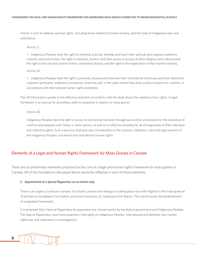Article 12 and 34 address spiritual rights, including those related to human remains, and the roles of Indigenous laws and institutions:

Article 12

1. Indigenous Peoples have the right to manifest, practise, develop and teach their spiritual and religious traditions, customs and ceremonies; the right to maintain, protect, and have access in privacy to their religious and cultural sites; the right to the use and control of their ceremonial objects; and the right to the repatriation of their human remains.

#### Article 34

1. Indigenous Peoples have the right to promote, develop and maintain their institutional structures and their distinctive customs, spirituality, traditions, procedures, practices and, in the cases where they exist, juridical systems or customs, in accordance with international human rights standards.

The UN Declaration speaks to the effective resolution of conflicts with the state about the violation of any rights. A legal framework is an avenue for providing a path to resolution in relation to mass graves:

#### Article 40

Indigenous Peoples have the right to access to and prompt decision through just and fair procedures for the resolution of conflicts and disputes with States or other parties, as well as to effective remedies for all infringements of their individual and collective rights. Such a decision shall give due consideration to the customs, traditions, rules and legal systems of the Indigenous Peoples concerned and international human rights.

# Elements of a Legal and Human Rights Framework for Mass Graves in Canada

There are six preliminary elements proposed as the core of a legal and human rights framework for mass graves in Canada. All of the foundations discussed above would be reflected in each of these elements.

#### *2. Appointment of a Special Rapporteur as an interim step*

There is an urgency to ensure a proper, structured, process and dialogue is taking place now with regards to the mass grave at Tk'emlúps te Secwépemc First Nation and recent discovery at Cowessess First Nation. This cannot await the establishment of a legislated framework.

It is proposed that a Special Rapporteur be appointed now, chosen jointly by the federal government and Indigenous Peoples. The Special Rapporteur must have expertise in the rights of Indigenous Peoples, international and domestic law, human rights law, and experience in investigations.

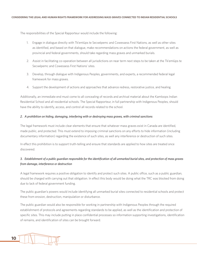The responsibilities of the Special Rapporteur would include the following:

- 1. Engage in dialogue directly with Tk'emlúps te Secwépemc and Cowessess First Nations, as well as other sites as identified, and based on that dialogue, make recommendations on actions the federal government, as well as provincial and federal governments, should take regarding mass graves and unmarked burials.
- 2. Assist in facilitating co-operation between all jurisdictions on near term next steps to be taken at the Tk'emlúps te Secwépemc and Cowessess First Nations' sites.
- 3. Develop, through dialogue with Indigenous Peoples, governments, and experts, a recommended federal legal framework for mass graves.
- 4. Support the development of actions and approaches that advance redress, restorative justice, and healing.

Additionally, an immediate end must come to all concealing of records and archival material about the Kamloops Indian Residential School and all residential schools. The Special Rapporteur, in full partnership with Indigenous Peoples, should have the ability to identify, access, and control all records related to the school.

#### *2. A prohibition on hiding, damaging, interfering with or destroying mass graves, with criminal sanctions*

The legal framework must include clear elements that ensure that whatever mass graves exist in Canada are identified, made public, and protected. This must extend to imposing criminal sanctions on any efforts to hide information (including documentary information) regarding the existence of such sites, as well any interference or destruction of such sites.

In effect this prohibition is to support truth-telling and ensure that standards are applied to how sites are treated once discovered.

# *3. Establishment of a public guardian responsible for the identification of all unmarked burial sites, and protection of mass graves from damage, interference or destruction*

A legal framework requires a positive obligation to identify and protect such sites. A public office, such as a public guardian, should be charged with carrying out that obligation. In effect this body would be doing what the TRC was blocked from doing due to lack of federal government funding.

The public guardian's powers would include identifying all unmarked burial sites connected to residential schools and protect these from erosion, destruction, manipulation or disturbance.

The public guardian would also be responsible for working in partnership with Indigenous Peoples through the required establishment of protocols and agreements regarding standards to be applied, as well as the identification and protection of specific sites. This may include putting in place confidential processes so information supporting investigations, identification of remains, and identification of sites can be brought forward.

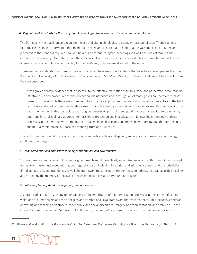#### *4. Regulation of standards for the use of digital technologies to discover and document mass burial sites*

The framework must facilitate and regulate the use of digital technologies to discover mass burial sites. There is a need to protect the personal information that might be revealed and ensure that the information gathered is documented and protected to the standard required should it be required for future legal proceedings. As well, the roles of families and communities in owning information about their deceased loved ones must be confirmed. This documentation must be used to ensure there is complete accountability for the death and/or inhumane disposal of the remains.

There are no clear standards currently in place in Canada. There are some standards that have been developed such as the Bournemouth University *Mass Grave Protection and Investigation Guidelines*. Drawing on these guidelines will be important. As they are described:

Mass graves contain evidence that is essential to the effective realisation of truth, justice and perpetrator accountability. Effective rules and procedures for the protection, maintenance and investigation of mass graves are therefore vital. At present, however, while there are a number of best practice approaches in operation amongst various actors in the field, no universal, shared or common standards exist. Through a participative and consultative process, this Protocol fills that gap. It neither duplicates nor replaces existing documents on principles and good practice. Instead it offers a unifying inter- and intra-disciplinary approach to mass grave protection and investigation. It follows the chronology of these processes in their entirety with a multitude of stakeholders, disciplines and mechanisms coming together for the dual, and mutually reinforcing, purpose of advancing truth and justice….**<sup>21</sup>**

The public guardian would play a role in ensuring standards are clear and applied, and updated as needed as technology continues to emerge.

#### *5. Mandated roles and authorities for Indigenous families and governments*

Victims' families, Survivors and Indigenous governments must have clearly recognized roles and authorities within the legal framework. These must meet international legal standards, including free, prior, and informed consent, and the jurisdiction of Indigenous laws and traditions. As well, the framework must include a proper focus on redress, restorative justice, healing, and protecting the memory of the lives of the children, families and communities affected.

#### *6. Reflecting leading standards regarding memorialization*

As noted earlier, there is growing understanding of the importance of memorialization processes in the context of serious violations of human rights and the principles and international legal framework that governs them. This includes standards on writing and teaching of history, broader public and social discourses, imagery and representation, and archiving. As the United Nations has observed *"positive work in the area of memory not only helps to build democratic cultures in which human* 

**<sup>21</sup>** Klinkner, M. and Smith, E., *The Bournemouth Protocol on Mass Grave Protection and Investigation*, Bournemouth University (2020): p. 3.